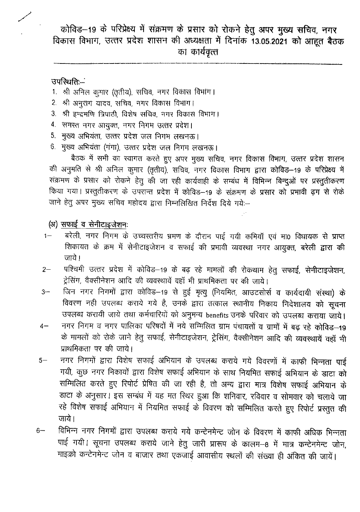कोविड-19 के परिप्रेक्ष्य में संक्रमण के प्रसार को रोकने हेतु अपर मुख्य सचिव, नगर विकास विभाग, उत्तर प्रदेश शासन की अध्यक्षता में दिनांक 13.05.2021 को आहूत बैठक का कार्यवृत्त

उपस्थिति.-

- 1. श्री अनिल कुमार (तृतीय), सचिव, नगर विकास विभाग।
- 2. श्री अनुराग यादव, सचिव, नगर विकास विभाग।
- 3. श्री इन्द्रमणि त्रिपाठी, विशेष सचिव, नगर विकास विभाग।
- 4. समस्त नगर आयुक्त, नगर निगम उत्तर प्रदेश।
- 5. मुख्य अभियंता, उत्तर प्रदेश जल निगम लखनऊ।
- 6. मुख्य अभियंता (गंगा), उत्तर प्रदेश जल निगम लखनऊ।

बैठक में सभी का स्वागत करते हुए अपर मुख्य सचिव, नगर विकास विभाग, उत्तर प्रदेश शासन की अनुमति से श्री अनिल कुमार (तृतीय), सचिव, नगर विकास विभाग द्वारा कोविड–19 के परिप्रेक्ष्य में संक्रमण के प्रसार को रोकने हेतु की जा रही कार्यवाही के सम्बंध में विभिन्न बिन्दुओं पर प्रस्तुतीकरण किया गया। प्रस्तुतीकरण के उपरान्त प्रदेश में कोविड–19 के संक्रमण के प्रसार को प्रमावी ढ़ग से रोके जाने हेतु अपर मुख्य सचिव महोदय द्वारा निम्नलिखित निर्देश दिये गये:-

(अ) सफाई व सेनीटाइजेशनः

- बरेली, नगर निगम के उच्चस्तरीय भ्रमण के दौरान पाई गयी कमियॉ एवं मा0 विघायक से प्राप्त  $1 -$ शिकायत के क्रम में सेनीटाइजेशन व सफाई की प्रभावी व्यवस्था नगर आयुक्त, बरेली द्वारा की जाये।
- पश्चिमी उत्तर प्रदेश में कोविड–19 के बढ़ रहे मामलों की रोकथाम हेतु सफाई, सेनीटाइजेशन,  $2-$ ट्रेसिंग, वैक्सीनेशन आदि की व्यवस्थायें वहॉं भी प्राथमिकता पर की जाये।
- जिन नगर निगमों द्वारा कोविड-19 से हुई मृत्यु (नियमित, आउटसोर्स व कार्यदायी संस्था) के  $3-$ विवरण नही उपलब्ध कराये गये है, उनके द्वारा तत्काल स्थानीय निकाय निदेशालय को सूचना उपलब्ध करायी जाये तथा कर्मचारियों को अनुमन्य benefits उनके परिवार को उपलब्ध कराया जाये।
- नगर निगम व नगर पालिका परिषदों में नये सम्मिलित ग्राम पंचायतों व ग्रामों में बढ़ रहे कोविड़—19  $4-$ के मामलों को रोके जाने हेतु सफाई, सेनीटाइजेशन, ट्रेसिंग, वैक्सीनेशन आदि की व्यवस्थायें वहॉं भी प्राथमिकता पर की जाये।
- नगर निगमों द्वारा विशेष सफाई अभियान के उपलब्ध कराये गये विवरणों में काफी भिन्नता पाई  $5-$ गयी, कुछ नगर निकायों द्वारा विशेष सफाई अभियान के साथ नियमित सफाई अभियान के डाटा को सम्मिलित करते हुए रिपोर्ट प्रेषित की जा रही है, तो अन्य द्वारा मात्र विशेष सफाई अभियान के डाटा के अनुसार। इस सम्बंध में यह मत रिथर हुआ कि शनिवार, रविवार व सोमवार को चलाये जा रहे विशेष सफाई अभियान में नियमित सफाई के विवरण को सम्मिलित करते हुए रिपोर्ट प्रस्तुत की जाये।
- विभिन्न नगर निगमों द्वारा उपलब्ध कराये गये कन्टेनमेन्ट जोन के विवरण में काफी अधिक भिन्नता  $6-$ पाई गयी। सूचना उपलब्ध कराये जाने हेतु जारी प्रारूप के कालम-8 में मात्र कन्टेनमेन्ट जोन, माइक्रो कन्टेनमेन्ट जोन व बाजार तथा एकजाई आवासीय स्थलों की संख्या ही अंकित की जायें।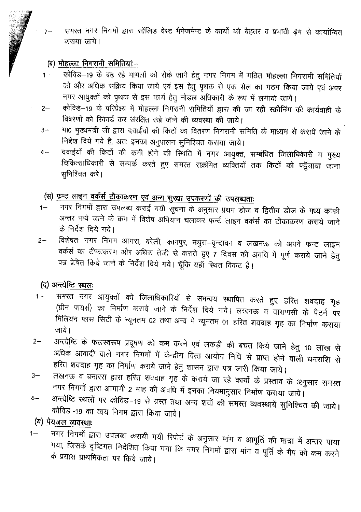समरत नगर निगमों द्वारा साँलिड वेस्ट मैनेजमेन्ट के कार्यो को बेहतर व प्रभावी ढ़ग से कार्यान्वित  $7-$ कराया जाये।

#### (ब) मोहल्ला निगरानी समितियां-

- कोविंड–19 के बढ़ रहे मामलों को रोके जाने हेतु नगर निगम में गठित मोहल्ला निगरानी समितियों  $\uparrow$ को और अधिक सक्रिय किया जाये एवं इस हेतु पृथक से एक सेल का गठन किया जाये एवं अपर नगर आयुक्तों को पृथक से इस कार्य हेतु नोडल अधिकारी के रूप में लगाया जाये।
- कोविड़–19 के परिप्रेक्ष्य में मोहल्ला निगरानी समितियों द्वारा की जा रही स्क्रीनिंग की कार्यवाही के  $2-$ विवरणों को रिकार्ड कर संरक्षित रखे जाने की व्यवस्था की जाये।
- मा0 मुख्यमंत्री जी द्वारा दवाईयों की किटों का वितरण निगरानी समिति के माध्यम से कराये जाने के  $3-$ निर्देश दिये गये है, अतः इनका अनुपालन सुनिश्चित कराया जाये।
- दवाईयों की किटों की कमी होने की स्थिति में नगर आयुक्त, सम्बंधित जिलाधिकारी व मुख्य  $4-$ चिकित्साधिकारी से सम्पर्क करते हुए समस्त सक्रमित व्यक्तियों तक किटों को पहुँचाया जाना सुनिश्चित करे।

## (स) फुन्ट लाइन वर्कर्स टीकाकरण एवं अन्य सुरक्षा उपकरणों की उपलब्धताः

- -<br>नगर निगमों द्वारा उपलब्ध कराई गयी सूचना के अनुसार प्रथम डोज व द्वितीय डोज के मध्य काफी  $1 -$ अन्तर पाये जाने के क्रम में विशेष अभियान चलाकर फर्न्ट लाइन वर्कर्स का टीकाकरण कराये जाने के निर्देश दिये गये।
- विशेषतः नगर निगम आगरा, बरेली, कानपुर, मथुरा-वृन्दावन व लखनऊ को अपने फन्ट लाइन  $2 -$ वर्कर्स का टीकाकरण और अधिक तेजी से कराते हुए 7 दिवस की अवधि में पूर्ण कराये जाने हेतु पत्र प्रेषित किये जाने के निर्देश दिये गये। चूँकि यहाँ स्थित विकट है।

#### (द) अन्त्येष्टि स्थलः

- समस्त नगर आयुक्तों को जिलाधिकारियों से समन्वय स्थापित करते हुए हरित शवदाह गृह  $1 -$ (ग्रीन पायर्स) का निर्माण कराये जाने के निर्देश दिये गये। लखनऊ व वाराणसी के पैटर्न पर मिलियन प्लस सिटी के न्यूनतम 02 तथा अन्य में न्यूनतम 01 हरित शवदाह गृह का निर्माण कराया जाये।
- अन्त्येष्टि के फलस्वरूप प्रदूषण को कम करने एवं लकड़ी की बचत किये जाने हेतु 10 लाख से  $2-$ अधिक आबादी वाले नगर निगमों में केन्द्रीय वित्त आयोग निधि से प्राप्त होने वाली धनराशि से हरित शवदाह गृह का निर्माण कराये जाने हेतु शासन द्वारा पत्र जारी किया जाये।
- लखनऊ व बनारस द्वारा हरित शवदाह गृह के कराये जा रहे कार्यो के प्रस्ताव के अनुसार समस्त  $3-$ -<br>नगर निगमों द्वारा आगामी 2 माह की अवधि में इनका नियमानुसार निर्माण कराया जाये।
- अन्त्येष्टि स्थलों पर कोविड-19 से ग्रस्त तथा अन्य शवों की समस्त व्यवस्थायें सुनिश्चित की जाये।  $4-$ कोविड–19 का व्यय निगम द्वारा किया जाये।

(य) पेयजल व्यवस्थाः

नगर निगमों द्वारा उपलब्ध करायी गयी रिपोर्ट के अनुसार मांग व आपूर्ति की मात्रा में अन्तर पाया  $1 -$ गया, जिसके दृष्टिगत निर्देशित किया गया कि नगर निगमों द्वारा मांग व पूर्ति के गैप को कम करने के प्रयास प्राथमिकता पर किये जाये।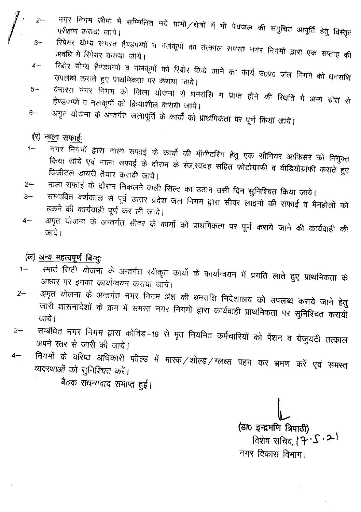- नगर निगम सीमा में सम्मिलित नये ग्रामों ⁄क्षेत्रों में भी पेयजल की समुचित आपूर्ति हेतु विस्तृत परीक्षण कराया जाये।
	- रिपेयर योग्य समरत हैण्डपम्पों व नंतकूपों को तत्काल समरत नगर निगमों द्वारा एक सप्ताह की अवधि में रिपेयर कराया जाये।
- रिबोर योग्य हेण्डपग्पों व नलकूपों को रिबोर किये जाने का कार्य उ०प्र० जल निगम को धनराशि  $4-$ उपलब्ध कराते हुए प्राथमिकता पर कराया जाये।
- बनारस नगर निगम को जिला योजना से धनराशि न प्राप्त होने की स्थिति में अन्य स्रोत से  $5-$ हैण्डपग्पों व नलकूपों को क्रियाशील कराया जाये।
- अमृत योजना के अन्तर्गत जलापूर्ति के कार्यों को प्राथमिकता पर पूर्ण किया जाये।  $6 -$

#### $(\nabla)$  नाला सफाई:

- नगर निगमों द्वारा नाला सफाई के कार्यों की मॉनीटरिंग हेतु एक सीनियर आफिसर को नियुक्त  $1 -$ किया जाये एवं नाला सफाई के दौरान के रंज.स्वदह सहित फोटोग्राफी व वीडियोग्राफी कराते हुए डिजीटल डायरी तैयार करायी जाये।
- नाला सफाई के दौरान निकलनें वाली सिल्ट का उठान उसी दिन सुनिश्चित किया जाये।  $2 -$
- सम्भावित वर्षाकाल से पूर्व उत्तर प्रदेश जल निगम द्वारा सीवर लाइनों की सफाई व मैनहोलों को  $3-$ ढ़कने की कार्यवाही पूर्ण कर ली जाये।
- अमृत योजना के अन्तर्गत सीवर के कार्यो को प्राथमिकता पर पूर्ण कराये जाने की कार्यवाही की  $4-$ जाये।

## (ल) अन्य महत्वपूर्ण बिन्दुः

- -<br>स्मार्ट सिटी योजना के अन्तर्गत स्वीकृत कार्यों के कार्यान्वयन में प्रगति लाते हुए प्राथमिकता के  $1 -$ आधार पर इनका कार्यान्वयन कराया जाये।
- अमृत योजना के अन्तर्गत नगर निगम अंश की धनराशि निदेशालय को उपलब्ध कराये जाने हेतु  $2 -$ जारी शासनादेशों के क्रम में समस्त नगर निगमों द्वारा कार्यवाही प्राथमिकता पर सुनिश्चित करायी जाये।
- सम्बंधित नगर निगम द्वारा कोविड–19 से मृत नियमित कर्मचारियों को पेंशन व ग्रेजुयटी तत्काल  $3-$ अपने स्तर से जारी की जाये।
- निगमों के वरिष्ठ अधिकारी फील्ड में मारक/शील्ड/ग्लब्स पहन कर भ्रमण करें एवं समस्त  $4-$ व्यवस्थाओं को सुनिश्चित करें।

बैठक सधन्यवाद समाप्त हुई।

(डा0 इन्द्रमणि त्रिपाठी) विशेष सचिव,  $\left( \vec{P} \cdot \vec{S} \cdot \vec{\boldsymbol{\lambda}} \right)$ 

नगर विकास विभाग।